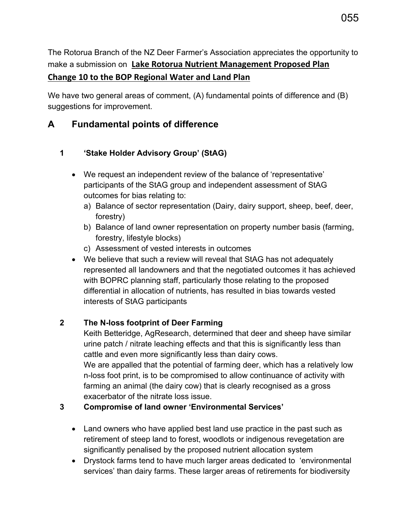The Rotorua Branch of the NZ Deer Farmer's Association appreciates the opportunity to make a submission on **Lake Rotorua Nutrient Management Proposed Plan Change 10 to the BOP Regional Water and Land Plan**

We have two general areas of comment, (A) fundamental points of difference and (B) suggestions for improvement.

# **A Fundamental points of difference**

### **1 'Stake Holder Advisory Group' (StAG)**

- We request an independent review of the balance of 'representative' participants of the StAG group and independent assessment of StAG outcomes for bias relating to:
	- a) Balance of sector representation (Dairy, dairy support, sheep, beef, deer, forestry)
	- b) Balance of land owner representation on property number basis (farming, forestry, lifestyle blocks)
	- c) Assessment of vested interests in outcomes
- We believe that such a review will reveal that StAG has not adequately represented all landowners and that the negotiated outcomes it has achieved with BOPRC planning staff, particularly those relating to the proposed differential in allocation of nutrients, has resulted in bias towards vested interests of StAG participants

## **2 The N-loss footprint of Deer Farming**

Keith Betteridge, AgResearch, determined that deer and sheep have similar urine patch / nitrate leaching effects and that this is significantly less than cattle and even more significantly less than dairy cows.

We are appalled that the potential of farming deer, which has a relatively low n-loss foot print, is to be compromised to allow continuance of activity with farming an animal (the dairy cow) that is clearly recognised as a gross exacerbator of the nitrate loss issue.

#### **3 Compromise of land owner 'Environmental Services'**

- Land owners who have applied best land use practice in the past such as retirement of steep land to forest, woodlots or indigenous revegetation are significantly penalised by the proposed nutrient allocation system
- Drystock farms tend to have much larger areas dedicated to 'environmental services' than dairy farms. These larger areas of retirements for biodiversity